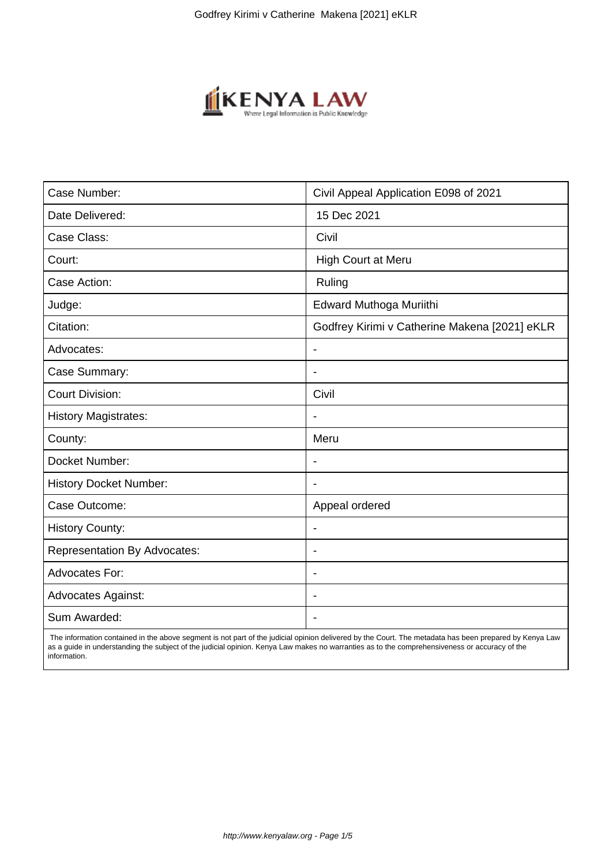

| Case Number:                        | Civil Appeal Application E098 of 2021         |
|-------------------------------------|-----------------------------------------------|
| Date Delivered:                     | 15 Dec 2021                                   |
| Case Class:                         | Civil                                         |
| Court:                              | High Court at Meru                            |
| Case Action:                        | Ruling                                        |
| Judge:                              | Edward Muthoga Muriithi                       |
| Citation:                           | Godfrey Kirimi v Catherine Makena [2021] eKLR |
| Advocates:                          | $\overline{\phantom{a}}$                      |
| Case Summary:                       | $\overline{\phantom{a}}$                      |
| <b>Court Division:</b>              | Civil                                         |
| <b>History Magistrates:</b>         | $\overline{\phantom{a}}$                      |
| County:                             | Meru                                          |
| Docket Number:                      |                                               |
| <b>History Docket Number:</b>       | $\overline{\phantom{0}}$                      |
| Case Outcome:                       | Appeal ordered                                |
| <b>History County:</b>              | $\overline{\phantom{a}}$                      |
| <b>Representation By Advocates:</b> | $\blacksquare$                                |
| <b>Advocates For:</b>               | $\overline{\phantom{a}}$                      |
| <b>Advocates Against:</b>           | $\overline{\phantom{0}}$                      |
| Sum Awarded:                        |                                               |

 The information contained in the above segment is not part of the judicial opinion delivered by the Court. The metadata has been prepared by Kenya Law as a guide in understanding the subject of the judicial opinion. Kenya Law makes no warranties as to the comprehensiveness or accuracy of the information.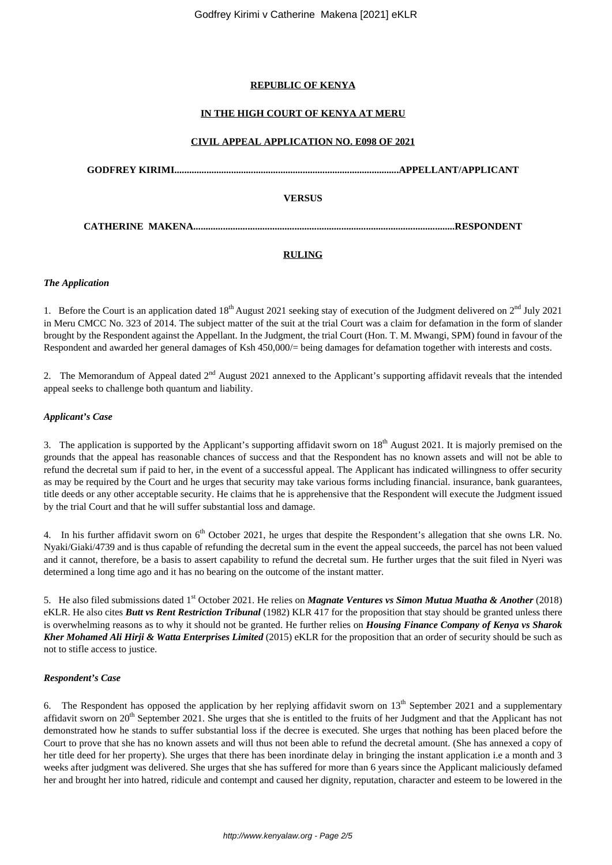# **REPUBLIC OF KENYA**

# **IN THE HIGH COURT OF KENYA AT MERU**

## **CIVIL APPEAL APPLICATION NO. E098 OF 2021**

**GODFREY KIRIMI...........................................................................................APPELLANT/APPLICANT**

## **VERSUS**

**CATHERINE MAKENA..........................................................................................................RESPONDENT**

# **RULING**

#### *The Application*

1. Before the Court is an application dated  $18<sup>th</sup>$  August 2021 seeking stay of execution of the Judgment delivered on  $2<sup>nd</sup>$  July 2021 in Meru CMCC No. 323 of 2014. The subject matter of the suit at the trial Court was a claim for defamation in the form of slander brought by the Respondent against the Appellant. In the Judgment, the trial Court (Hon. T. M. Mwangi, SPM) found in favour of the Respondent and awarded her general damages of Ksh 450,000/= being damages for defamation together with interests and costs.

2. The Memorandum of Appeal dated  $2<sup>nd</sup>$  August 2021 annexed to the Applicant's supporting affidavit reveals that the intended appeal seeks to challenge both quantum and liability.

### *Applicant's Case*

3. The application is supported by the Applicant's supporting affidavit sworn on  $18<sup>th</sup>$  August 2021. It is majorly premised on the grounds that the appeal has reasonable chances of success and that the Respondent has no known assets and will not be able to refund the decretal sum if paid to her, in the event of a successful appeal. The Applicant has indicated willingness to offer security as may be required by the Court and he urges that security may take various forms including financial. insurance, bank guarantees, title deeds or any other acceptable security. He claims that he is apprehensive that the Respondent will execute the Judgment issued by the trial Court and that he will suffer substantial loss and damage.

4. In his further affidavit sworn on 6<sup>th</sup> October 2021, he urges that despite the Respondent's allegation that she owns LR. No. Nyaki/Giaki/4739 and is thus capable of refunding the decretal sum in the event the appeal succeeds, the parcel has not been valued and it cannot, therefore, be a basis to assert capability to refund the decretal sum. He further urges that the suit filed in Nyeri was determined a long time ago and it has no bearing on the outcome of the instant matter.

5. He also filed submissions dated 1<sup>st</sup> October 2021. He relies on *Magnate Ventures vs Simon Mutua Muatha & Another* (2018) eKLR. He also cites *Butt vs Rent Restriction Tribunal* (1982) KLR 417 for the proposition that stay should be granted unless there is overwhelming reasons as to why it should not be granted. He further relies on *Housing Finance Company of Kenya vs Sharok Kher Mohamed Ali Hirji & Watta Enterprises Limited* (2015) eKLR for the proposition that an order of security should be such as not to stifle access to justice.

### *Respondent's Case*

The Respondent has opposed the application by her replying affidavit sworn on  $13<sup>th</sup>$  September 2021 and a supplementary affidavit sworn on  $20<sup>th</sup>$  September 2021. She urges that she is entitled to the fruits of her Judgment and that the Applicant has not demonstrated how he stands to suffer substantial loss if the decree is executed. She urges that nothing has been placed before the Court to prove that she has no known assets and will thus not been able to refund the decretal amount. (She has annexed a copy of her title deed for her property). She urges that there has been inordinate delay in bringing the instant application i.e a month and 3 weeks after judgment was delivered. She urges that she has suffered for more than 6 years since the Applicant maliciously defamed her and brought her into hatred, ridicule and contempt and caused her dignity, reputation, character and esteem to be lowered in the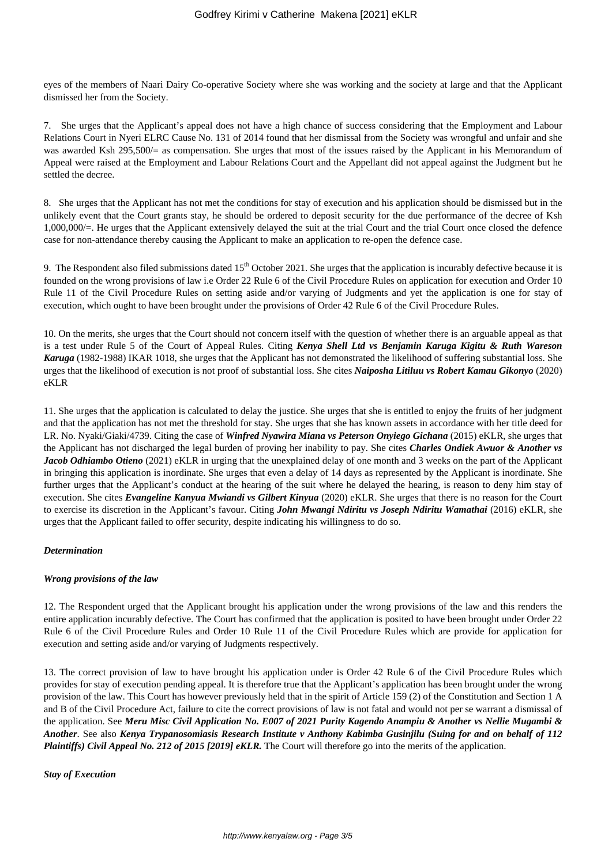eyes of the members of Naari Dairy Co-operative Society where she was working and the society at large and that the Applicant dismissed her from the Society.

7. She urges that the Applicant's appeal does not have a high chance of success considering that the Employment and Labour Relations Court in Nyeri ELRC Cause No. 131 of 2014 found that her dismissal from the Society was wrongful and unfair and she was awarded Ksh 295,500/= as compensation. She urges that most of the issues raised by the Applicant in his Memorandum of Appeal were raised at the Employment and Labour Relations Court and the Appellant did not appeal against the Judgment but he settled the decree.

8. She urges that the Applicant has not met the conditions for stay of execution and his application should be dismissed but in the unlikely event that the Court grants stay, he should be ordered to deposit security for the due performance of the decree of Ksh 1,000,000/=. He urges that the Applicant extensively delayed the suit at the trial Court and the trial Court once closed the defence case for non-attendance thereby causing the Applicant to make an application to re-open the defence case.

9. The Respondent also filed submissions dated  $15<sup>th</sup>$  October 2021. She urges that the application is incurably defective because it is founded on the wrong provisions of law i.e Order 22 Rule 6 of the Civil Procedure Rules on application for execution and Order 10 Rule 11 of the Civil Procedure Rules on setting aside and/or varying of Judgments and yet the application is one for stay of execution, which ought to have been brought under the provisions of Order 42 Rule 6 of the Civil Procedure Rules.

10. On the merits, she urges that the Court should not concern itself with the question of whether there is an arguable appeal as that is a test under Rule 5 of the Court of Appeal Rules. Citing *Kenya Shell Ltd vs Benjamin Karuga Kigitu & Ruth Wareson Karuga* (1982-1988) IKAR 1018, she urges that the Applicant has not demonstrated the likelihood of suffering substantial loss. She urges that the likelihood of execution is not proof of substantial loss. She cites *Naiposha Litiluu vs Robert Kamau Gikonyo* (2020) eKLR

11. She urges that the application is calculated to delay the justice. She urges that she is entitled to enjoy the fruits of her judgment and that the application has not met the threshold for stay. She urges that she has known assets in accordance with her title deed for LR. No. Nyaki/Giaki/4739. Citing the case of *Winfred Nyawira Miana vs Peterson Onyiego Gichana* (2015) eKLR, she urges that the Applicant has not discharged the legal burden of proving her inability to pay. She cites *Charles Ondiek Awuor & Another vs Jacob Odhiambo Otieno* (2021) eKLR in urging that the unexplained delay of one month and 3 weeks on the part of the Applicant in bringing this application is inordinate. She urges that even a delay of 14 days as represented by the Applicant is inordinate. She further urges that the Applicant's conduct at the hearing of the suit where he delayed the hearing, is reason to deny him stay of execution. She cites *Evangeline Kanyua Mwiandi vs Gilbert Kinyua* (2020) eKLR. She urges that there is no reason for the Court to exercise its discretion in the Applicant's favour. Citing *John Mwangi Ndiritu vs Joseph Ndiritu Wamathai* (2016) eKLR, she urges that the Applicant failed to offer security, despite indicating his willingness to do so.

### *Determination*

### *Wrong provisions of the law*

12. The Respondent urged that the Applicant brought his application under the wrong provisions of the law and this renders the entire application incurably defective. The Court has confirmed that the application is posited to have been brought under Order 22 Rule 6 of the Civil Procedure Rules and Order 10 Rule 11 of the Civil Procedure Rules which are provide for application for execution and setting aside and/or varying of Judgments respectively.

13. The correct provision of law to have brought his application under is Order 42 Rule 6 of the Civil Procedure Rules which provides for stay of execution pending appeal. It is therefore true that the Applicant's application has been brought under the wrong provision of the law. This Court has however previously held that in the spirit of Article 159 (2) of the Constitution and Section 1 A and B of the Civil Procedure Act, failure to cite the correct provisions of law is not fatal and would not per se warrant a dismissal of the application. See *Meru Misc Civil Application No. E007 of 2021 Purity Kagendo Anampiu & Another vs Nellie Mugambi & Another*. See also *Kenya Trypanosomiasis Research Institute v Anthony Kabimba Gusinjilu (Suing for and on behalf of 112 Plaintiffs) Civil Appeal No. 212 of 2015 [2019] eKLR.* The Court will therefore go into the merits of the application.

*Stay of Execution*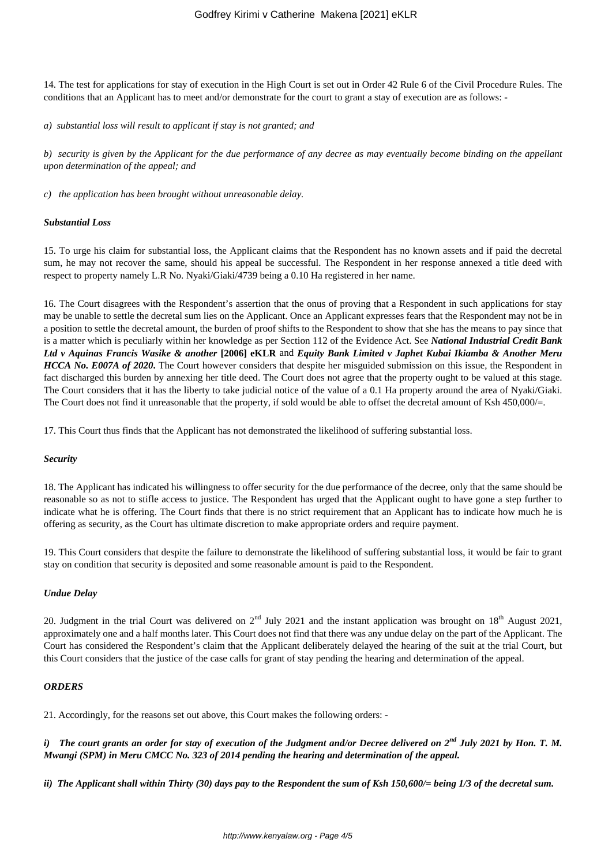14. The test for applications for stay of execution in the High Court is set out in Order 42 Rule 6 of the Civil Procedure Rules. The conditions that an Applicant has to meet and/or demonstrate for the court to grant a stay of execution are as follows: -

*a) substantial loss will result to applicant if stay is not granted; and* 

*b) security is given by the Applicant for the due performance of any decree as may eventually become binding on the appellant upon determination of the appeal; and*

*c) the application has been brought without unreasonable delay.* 

#### *Substantial Loss*

15. To urge his claim for substantial loss, the Applicant claims that the Respondent has no known assets and if paid the decretal sum, he may not recover the same, should his appeal be successful. The Respondent in her response annexed a title deed with respect to property namely L.R No. Nyaki/Giaki/4739 being a 0.10 Ha registered in her name.

16. The Court disagrees with the Respondent's assertion that the onus of proving that a Respondent in such applications for stay may be unable to settle the decretal sum lies on the Applicant. Once an Applicant expresses fears that the Respondent may not be in a position to settle the decretal amount, the burden of proof shifts to the Respondent to show that she has the means to pay since that is a matter which is peculiarly within her knowledge as per Section 112 of the Evidence Act. See *National Industrial Credit Bank Ltd v Aquinas Francis Wasike & another* **[2006] eKLR** and *Equity Bank Limited v Japhet Kubai Ikiamba & Another Meru HCCA No. E007A of 2020*. The Court however considers that despite her misguided submission on this issue, the Respondent in fact discharged this burden by annexing her title deed. The Court does not agree that the property ought to be valued at this stage. The Court considers that it has the liberty to take judicial notice of the value of a 0.1 Ha property around the area of Nyaki/Giaki. The Court does not find it unreasonable that the property, if sold would be able to offset the decretal amount of Ksh 450,000/=.

17. This Court thus finds that the Applicant has not demonstrated the likelihood of suffering substantial loss.

#### *Security*

18. The Applicant has indicated his willingness to offer security for the due performance of the decree, only that the same should be reasonable so as not to stifle access to justice. The Respondent has urged that the Applicant ought to have gone a step further to indicate what he is offering. The Court finds that there is no strict requirement that an Applicant has to indicate how much he is offering as security, as the Court has ultimate discretion to make appropriate orders and require payment.

19. This Court considers that despite the failure to demonstrate the likelihood of suffering substantial loss, it would be fair to grant stay on condition that security is deposited and some reasonable amount is paid to the Respondent.

### *Undue Delay*

20. Judgment in the trial Court was delivered on 2<sup>nd</sup> July 2021 and the instant application was brought on 18<sup>th</sup> August 2021, approximately one and a half months later. This Court does not find that there was any undue delay on the part of the Applicant. The Court has considered the Respondent's claim that the Applicant deliberately delayed the hearing of the suit at the trial Court, but this Court considers that the justice of the case calls for grant of stay pending the hearing and determination of the appeal.

### *ORDERS*

21. Accordingly, for the reasons set out above, this Court makes the following orders: -

*i) The court grants an order for stay of execution of the Judgment and/or Decree delivered on 2nd July 2021 by Hon. T. M. Mwangi (SPM) in Meru CMCC No. 323 of 2014 pending the hearing and determination of the appeal.*

*ii) The Applicant shall within Thirty (30) days pay to the Respondent the sum of Ksh 150,600/= being 1/3 of the decretal sum.*